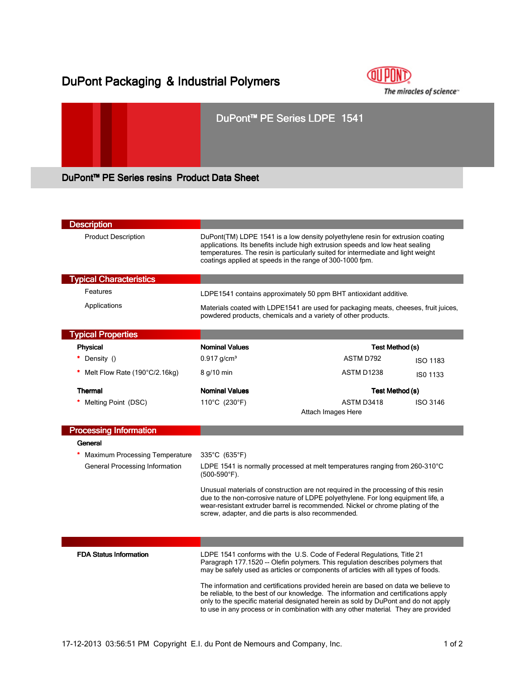# DuPont Packaging & Industrial Polymers



# DuPont™ PE Series LDPE 1541

DuPont™ PE Series resins Product Data Sheet

| <b>Description</b>              |                                                                                                                                                                                                                                                                                                                                                       |                                                     |  |
|---------------------------------|-------------------------------------------------------------------------------------------------------------------------------------------------------------------------------------------------------------------------------------------------------------------------------------------------------------------------------------------------------|-----------------------------------------------------|--|
| <b>Product Description</b>      | DuPont(TM) LDPE 1541 is a low density polyethylene resin for extrusion coating<br>applications. Its benefits include high extrusion speeds and low heat sealing<br>temperatures. The resin is particularly suited for intermediate and light weight<br>coatings applied at speeds in the range of 300-1000 fpm.                                       |                                                     |  |
| <b>Typical Characteristics</b>  |                                                                                                                                                                                                                                                                                                                                                       |                                                     |  |
| Features                        | LDPE1541 contains approximately 50 ppm BHT antioxidant additive.                                                                                                                                                                                                                                                                                      |                                                     |  |
| Applications                    | Materials coated with LDPE1541 are used for packaging meats, cheeses, fruit juices,<br>powdered products, chemicals and a variety of other products.                                                                                                                                                                                                  |                                                     |  |
| <b>Typical Properties</b>       |                                                                                                                                                                                                                                                                                                                                                       |                                                     |  |
| <b>Physical</b>                 | <b>Nominal Values</b>                                                                                                                                                                                                                                                                                                                                 | Test Method (s)                                     |  |
| * Density ()                    | $0.917$ g/cm <sup>3</sup>                                                                                                                                                                                                                                                                                                                             | ASTM D792<br><b>ISO 1183</b>                        |  |
| * Melt Flow Rate (190°C/2.16kg) | 8 g/10 min                                                                                                                                                                                                                                                                                                                                            | ASTM D1238<br>ISO 1133                              |  |
| <b>Thermal</b>                  | <b>Nominal Values</b>                                                                                                                                                                                                                                                                                                                                 | Test Method (s)                                     |  |
| Melting Point (DSC)             | 110°C (230°F)                                                                                                                                                                                                                                                                                                                                         | ASTM D3418<br><b>ISO 3146</b><br>Attach Images Here |  |
| <b>Processing Information</b>   |                                                                                                                                                                                                                                                                                                                                                       |                                                     |  |
| General                         |                                                                                                                                                                                                                                                                                                                                                       |                                                     |  |
| Maximum Processing Temperature  | $335^{\circ}$ C (635 $^{\circ}$ F)                                                                                                                                                                                                                                                                                                                    |                                                     |  |
| General Processing Information  | LDPE 1541 is normally processed at melt temperatures ranging from $260-310^{\circ}$ C<br>$(500-590^{\circ}F)$ .                                                                                                                                                                                                                                       |                                                     |  |
|                                 | Unusual materials of construction are not required in the processing of this resin<br>due to the non-corrosive nature of LDPE polyethylene. For long equipment life, a<br>wear-resistant extruder barrel is recommended. Nickel or chrome plating of the<br>screw, adapter, and die parts is also recommended.                                        |                                                     |  |
|                                 |                                                                                                                                                                                                                                                                                                                                                       |                                                     |  |
|                                 |                                                                                                                                                                                                                                                                                                                                                       |                                                     |  |
| <b>FDA Status Information</b>   | LDPE 1541 conforms with the U.S. Code of Federal Regulations, Title 21<br>Paragraph 177.1520 -- Olefin polymers. This regulation describes polymers that<br>may be safely used as articles or components of articles with all types of foods.                                                                                                         |                                                     |  |
|                                 | The information and certifications provided herein are based on data we believe to<br>be reliable, to the best of our knowledge. The information and certifications apply<br>only to the specific material designated herein as sold by DuPont and do not apply<br>to use in any process or in combination with any other material. They are provided |                                                     |  |